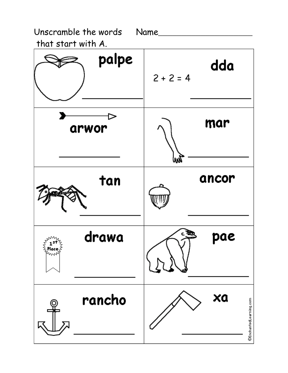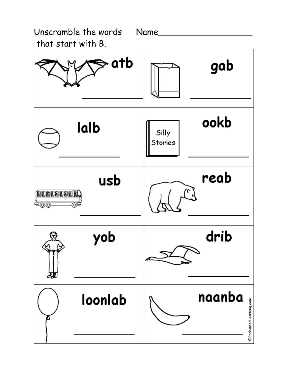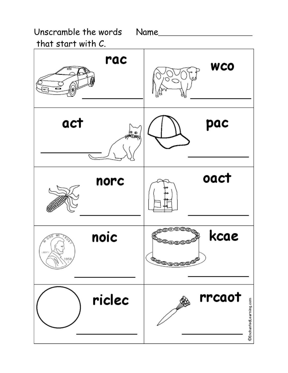Unscramble the words Name

that start with C.

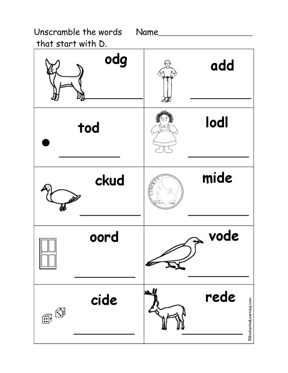Unscramble the words Name that start with D.

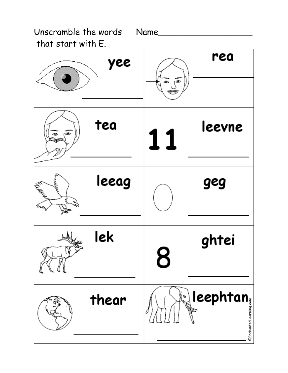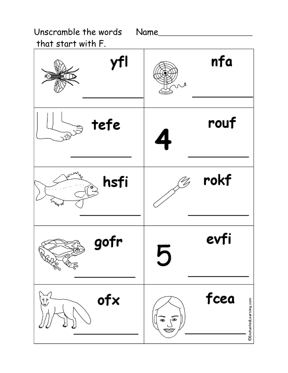Unscramble the words Name that start with F.

nfa yfl فى rouf tefe .ন rokf hsfi evfi gofr 5 fcea ofx .<br>V ©EnchantedLearning.com க دههَ،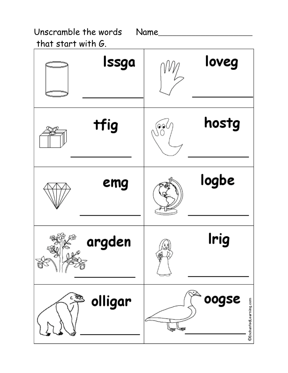| Unscramble the words  | Name |  |
|-----------------------|------|--|
| that start with $G$ . |      |  |

| Issga                | loveg                           |
|----------------------|---------------------------------|
| tfig                 | hostg<br>@@(                    |
| emg                  | logbe                           |
| argden               | Irig                            |
| ইয়<br>olligar<br>c. | oogse<br>©EnchantedLearning.com |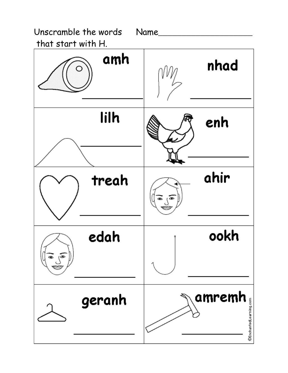

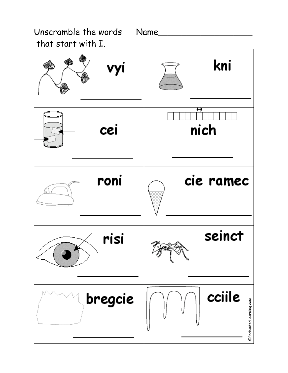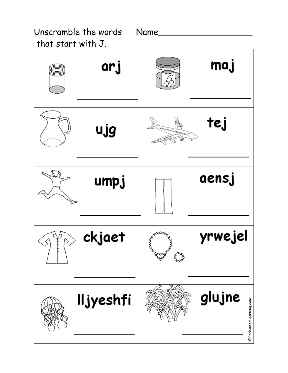that start with J.

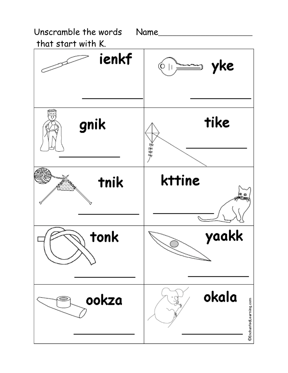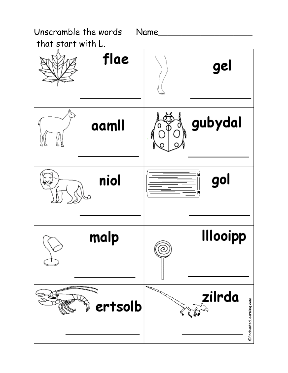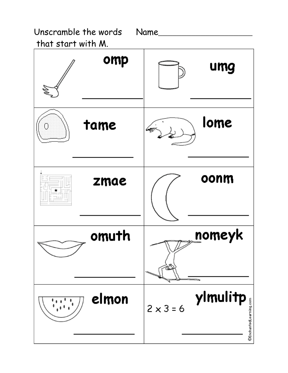Unscramble the words Name that start with M.

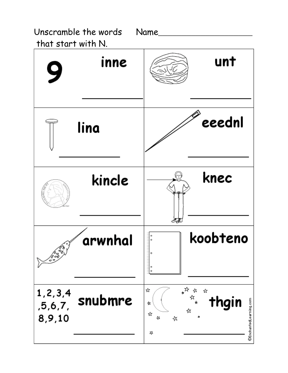Unscramble the words

Name



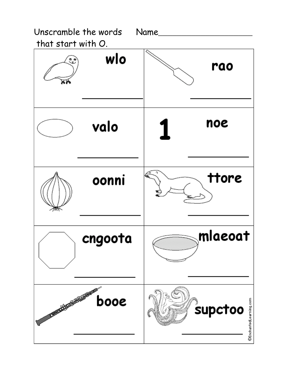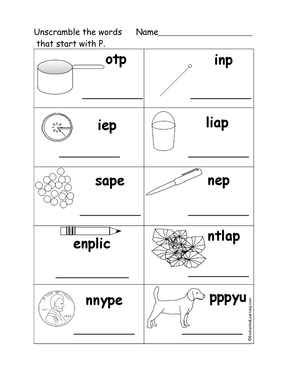

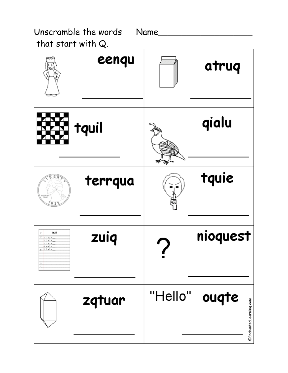Unscramble the words Name that start with  $Q$ . eenqu atruq qialu tquil tquie terrqua zuiq nioquest quiz  $0 + 1.142 + ...$  $2.2 + 2.5$  $+ + + + + -$ 1.1+1+ "Hello" ouqte zqtuar @EnchantedLearning.com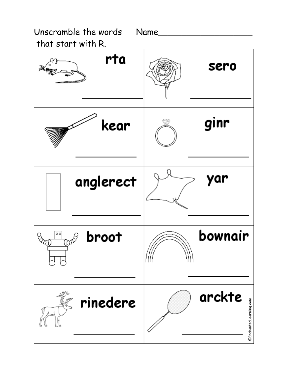



Name\_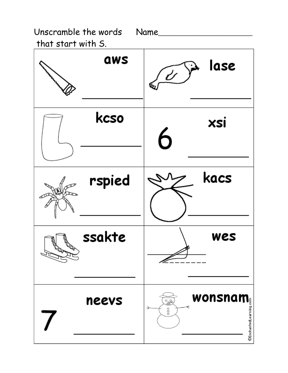Unscramble the words Name

that start with S.

| aws    | lase<br>$\overline{\mathscr{C}}$ |
|--------|----------------------------------|
| kcso   | xsi<br>6                         |
| rspied | kacs                             |
| ssakte | wes<br>⇙                         |
| neevs  | wonsnam<br>್ರಿ<br>$\frac{0}{2}$  |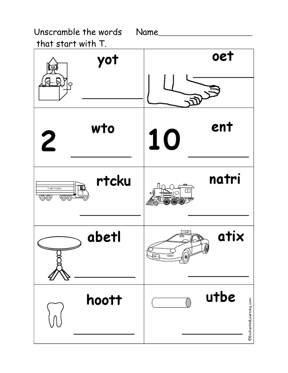Unscramble the words

Name\_\_\_

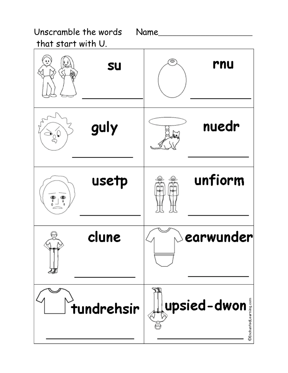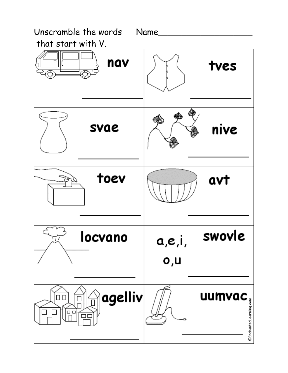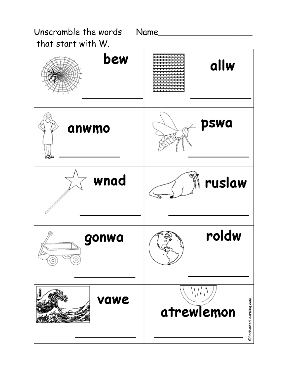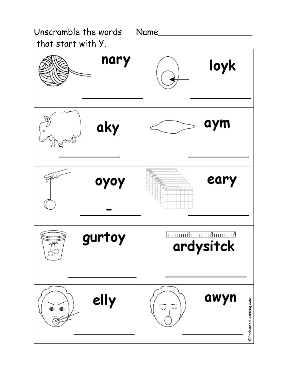